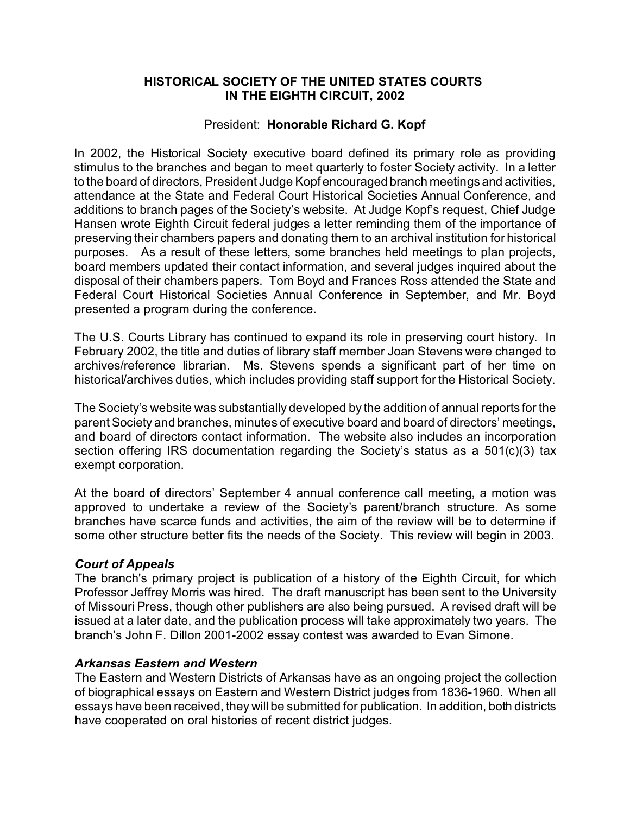# **HISTORICAL SOCIETY OF THE UNITED STATES COURTS IN THE EIGHTH CIRCUIT, 2002**

# President: **Honorable Richard G. Kopf**

In 2002, the Historical Society executive board defined its primary role as providing stimulus to the branches and began to meet quarterly to foster Society activity. In a letter to the board of directors, President Judge Kopf encouraged branch meetings and activities, attendance at the State and Federal Court Historical Societies Annual Conference, and additions to branch pages of the Society's website. At Judge Kopf's request, Chief Judge Hansen wrote Eighth Circuit federal judges a letter reminding them of the importance of preserving their chambers papers and donating them to an archival institution for historical purposes. As a result of these letters, some branches held meetings to plan projects, board members updated their contact information, and several judges inquired about the disposal of their chambers papers. Tom Boyd and Frances Ross attended the State and Federal Court Historical Societies Annual Conference in September, and Mr. Boyd presented a program during the conference.

The U.S. Courts Library has continued to expand its role in preserving court history. In February 2002, the title and duties of library staff member Joan Stevens were changed to archives/reference librarian. Ms. Stevens spends a significant part of her time on historical/archives duties, which includes providing staff support for the Historical Society.

The Society's website was substantially developed by the addition of annual reports for the parent Society and branches, minutes of executive board and board of directors' meetings, and board of directors contact information. The website also includes an incorporation section offering IRS documentation regarding the Society's status as a 501(c)(3) tax exempt corporation.

At the board of directors' September 4 annual conference call meeting, a motion was approved to undertake a review of the Society's parent/branch structure. As some branches have scarce funds and activities, the aim of the review will be to determine if some other structure better fits the needs of the Society. This review will begin in 2003.

# *Court of Appeals*

The branch's primary project is publication of a history of the Eighth Circuit, for which Professor Jeffrey Morris was hired. The draft manuscript has been sent to the University of Missouri Press, though other publishers are also being pursued. A revised draft will be issued at a later date, and the publication process will take approximately two years. The branch's John F. Dillon 2001-2002 essay contest was awarded to Evan Simone.

# *Arkansas Eastern and Western*

The Eastern and Western Districts of Arkansas have as an ongoing project the collection of biographical essays on Eastern and Western District judges from 1836-1960. When all essays have been received, they will be submitted for publication. In addition, both districts have cooperated on oral histories of recent district judges.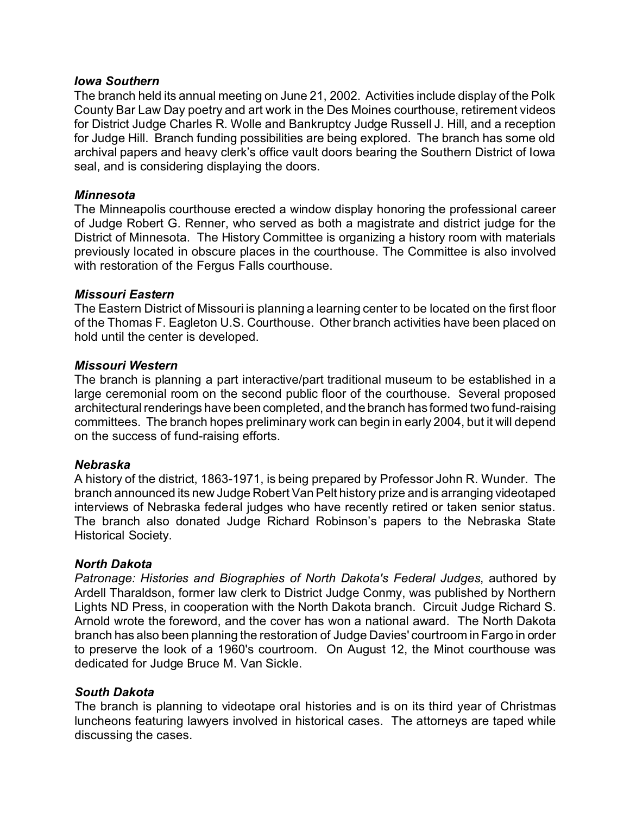#### *Iowa Southern*

The branch held its annual meeting on June 21, 2002. Activities include display of the Polk County Bar Law Day poetry and art work in the Des Moines courthouse, retirement videos for District Judge Charles R. Wolle and Bankruptcy Judge Russell J. Hill, and a reception for Judge Hill. Branch funding possibilities are being explored. The branch has some old archival papers and heavy clerk's office vault doors bearing the Southern District of Iowa seal, and is considering displaying the doors.

#### *Minnesota*

The Minneapolis courthouse erected a window display honoring the professional career of Judge Robert G. Renner, who served as both a magistrate and district judge for the District of Minnesota. The History Committee is organizing a history room with materials previously located in obscure places in the courthouse. The Committee is also involved with restoration of the Fergus Falls courthouse.

#### *Missouri Eastern*

The Eastern District of Missouri is planning a learning center to be located on the first floor of the Thomas F. Eagleton U.S. Courthouse. Other branch activities have been placed on hold until the center is developed.

#### *Missouri Western*

The branch is planning a part interactive/part traditional museum to be established in a large ceremonial room on the second public floor of the courthouse. Several proposed architectural renderings have been completed, and the branch has formed two fund-raising committees. The branch hopes preliminary work can begin in early 2004, but it will depend on the success of fund-raising efforts.

#### *Nebraska*

A history of the district, 1863-1971, is being prepared by Professor John R. Wunder. The branch announced its new Judge Robert Van Pelt history prize and is arranging videotaped interviews of Nebraska federal judges who have recently retired or taken senior status. The branch also donated Judge Richard Robinson's papers to the Nebraska State Historical Society.

#### *North Dakota*

*Patronage: Histories and Biographies of North Dakota's Federal Judges*, authored by Ardell Tharaldson, former law clerk to District Judge Conmy, was published by Northern Lights ND Press, in cooperation with the North Dakota branch. Circuit Judge Richard S. Arnold wrote the foreword, and the cover has won a national award. The North Dakota branch has also been planning the restoration of Judge Davies' courtroom in Fargo in order to preserve the look of a 1960's courtroom. On August 12, the Minot courthouse was dedicated for Judge Bruce M. Van Sickle.

#### *South Dakota*

The branch is planning to videotape oral histories and is on its third year of Christmas luncheons featuring lawyers involved in historical cases. The attorneys are taped while discussing the cases.